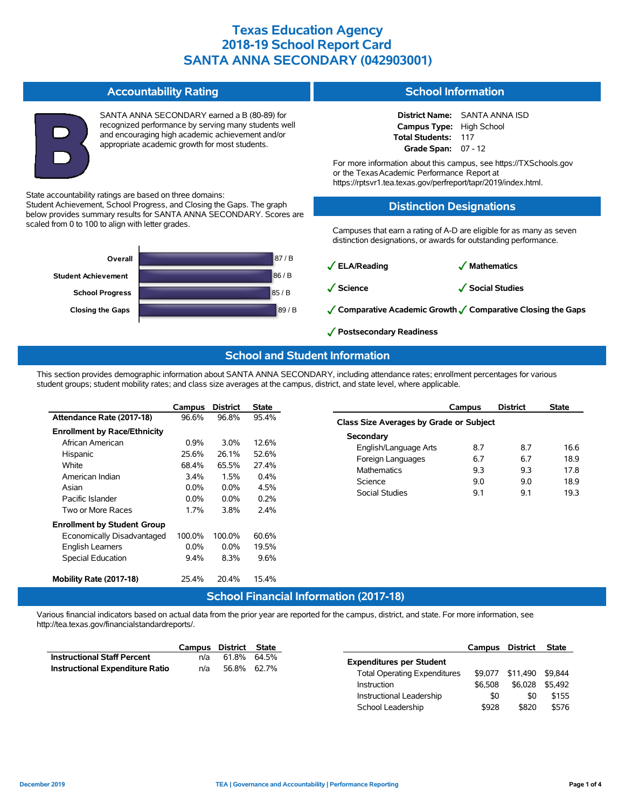#### **Accountability Rating**

Student Achievement, School Progress, and Closing the Gaps. The graph below provides summary results for SANTA ANNA SECONDARY. Scores are

State accountability ratings are based on three domains:

scaled from 0 to 100 to align with letter grades.

SANTA ANNA SECONDARY earned a B (80-89) for recognized performance by serving many students well and encouraging high academic achievement and/or appropriate academic growth for most students.

### **School Information**

**District Name:** SANTA ANNA ISD **Campus Type:** High School **Total Students:** 117 **Grade Span:** 07 - 12

For more information about this campus, see https://TXSchools.gov or the TexasAcademic Performance Report at https://rptsvr1.tea.texas.gov/perfreport/tapr/2019/index.html.

### **Distinction Designations**

Campuses that earn a rating of A-D are eligible for as many as seven distinction designations, or awards for outstanding performance.

87 / B 86 / B 85 / B **Closing the Gaps** 89 / B **School Progress Student Achievement Overall**

#### ✓**ELA/Reading** ✓ **Mathematics**

✓**Science** ✓**Social Studies**

- ✓**Comparative Academic Growth**✓**Comparative Closing the Gaps**
- ✓**Postsecondary Readiness**

### **School and Student Information**

This section provides demographic information about SANTA ANNA SECONDARY, including attendance rates; enrollment percentages for various student groups; student mobility rates; and class size averages at the campus, district, and state level, where applicable.

|                                     | Campus  | <b>District</b> | State   |
|-------------------------------------|---------|-----------------|---------|
| Attendance Rate (2017-18)           | 96.6%   | 96.8%           | 95.4%   |
| <b>Enrollment by Race/Ethnicity</b> |         |                 |         |
| African American                    | $0.9\%$ | $3.0\%$         | 12.6%   |
| Hispanic                            | 25.6%   | 26.1%           | 52.6%   |
| White                               | 68.4%   | 65.5%           | 27.4%   |
| American Indian                     | $3.4\%$ | 1.5%            | $0.4\%$ |
| Asian                               | $0.0\%$ | $0.0\%$         | 4.5%    |
| Pacific Islander                    | $0.0\%$ | $0.0\%$         | 0.2%    |
| Two or More Races                   | 1.7%    | 3.8%            | 2.4%    |
| <b>Enrollment by Student Group</b>  |         |                 |         |
| Economically Disadvantaged          | 100.0%  | 100.0%          | 60.6%   |
| <b>English Learners</b>             | $0.0\%$ | $0.0\%$         | 19.5%   |
| <b>Special Education</b>            | $9.4\%$ | 8.3%            | 9.6%    |
|                                     |         |                 |         |
| Mobility Rate (2017-18)             | 25.4%   | 20.4%           | 15.4%   |
|                                     |         |                 |         |

|                                         | Campus | <b>District</b> | <b>State</b> |  |  |  |  |  |  |  |
|-----------------------------------------|--------|-----------------|--------------|--|--|--|--|--|--|--|
| Class Size Averages by Grade or Subject |        |                 |              |  |  |  |  |  |  |  |
| Secondary                               |        |                 |              |  |  |  |  |  |  |  |
| English/Language Arts                   | 8.7    | 8.7             | 16.6         |  |  |  |  |  |  |  |
| Foreign Languages                       | 6.7    | 6.7             | 18.9         |  |  |  |  |  |  |  |
| <b>Mathematics</b>                      | 93     | 93              | 178          |  |  |  |  |  |  |  |
| Science                                 | 9.0    | 9.0             | 18.9         |  |  |  |  |  |  |  |
| Social Studies                          | 91     | 91              | 193          |  |  |  |  |  |  |  |
|                                         |        |                 |              |  |  |  |  |  |  |  |

### **School Financial Information (2017-18)**

Various financial indicators based on actual data from the prior year are reported for the campus, district, and state. For more information, see http://tea.texas.gov/financialstandardreports/.

|                                        | Campus             | District                            | State       |                                 | <b>Campus</b> | District | <b>State</b> |
|----------------------------------------|--------------------|-------------------------------------|-------------|---------------------------------|---------------|----------|--------------|
| <b>Instructional Staff Percent</b>     | n/a                |                                     | 61.8% 64.5% | <b>Expenditures per Student</b> |               |          |              |
| <b>Instructional Expenditure Ratio</b> | 56.8% 62.7%<br>n/a | <b>Total Operating Expenditures</b> | \$9,077     | \$11.490                        | \$9.844       |          |              |
|                                        |                    |                                     | Instruction | \$6.508                         | \$6.028       | \$5.492  |              |
|                                        |                    |                                     |             | Instructional Leadership        | \$0           | \$0      | \$155        |
|                                        |                    |                                     |             | School Leadership               | \$928         | \$820    | \$576        |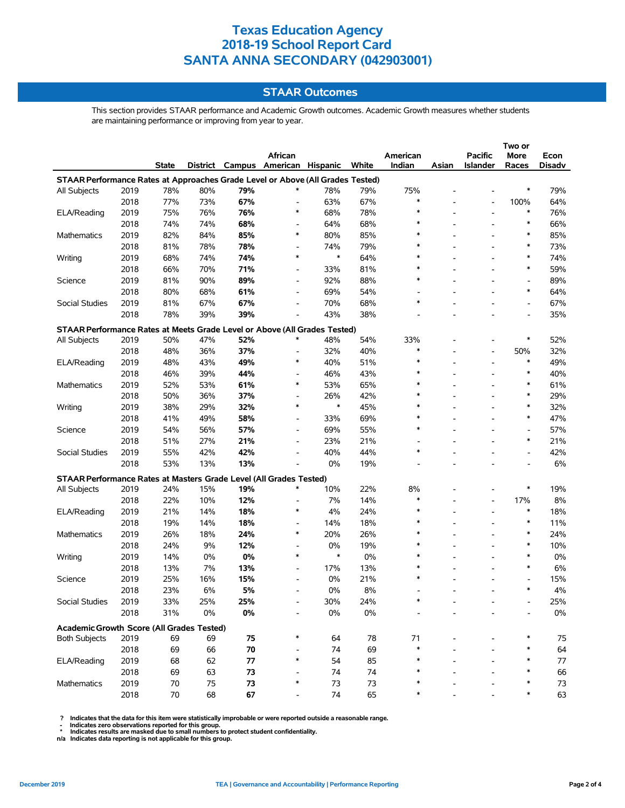### **STAAR Outcomes**

This section provides STAAR performance and Academic Growth outcomes. Academic Growth measures whether students are maintaining performance or improving from year to year.

|                                                                                |      |              |     |     |                                   |        |       |          |       | Two or                   |                          |        |
|--------------------------------------------------------------------------------|------|--------------|-----|-----|-----------------------------------|--------|-------|----------|-------|--------------------------|--------------------------|--------|
|                                                                                |      |              |     |     | African                           |        |       | American |       | Pacific                  | <b>More</b>              | Econ   |
|                                                                                |      | <b>State</b> |     |     | District Campus American Hispanic |        | White | Indian   | Asian | <b>Islander</b>          | Races                    | Disadv |
| STAAR Performance Rates at Approaches Grade Level or Above (All Grades Tested) |      |              |     |     |                                   |        |       |          |       |                          |                          |        |
| All Subjects                                                                   | 2019 | 78%          | 80% | 79% | ∗                                 | 78%    | 79%   | 75%      |       |                          | *                        | 79%    |
|                                                                                | 2018 | 77%          | 73% | 67% | $\overline{a}$                    | 63%    | 67%   | $\ast$   |       |                          | 100%                     | 64%    |
| ELA/Reading                                                                    | 2019 | 75%          | 76% | 76% | $\ast$                            | 68%    | 78%   | ∗        |       | $\overline{\phantom{a}}$ | ∗                        | 76%    |
|                                                                                | 2018 | 74%          | 74% | 68% | $\overline{\phantom{0}}$          | 64%    | 68%   |          |       |                          | $\ast$                   | 66%    |
| Mathematics                                                                    | 2019 | 82%          | 84% | 85% | *                                 | 80%    | 85%   | $\ast$   |       |                          | $\ast$                   | 85%    |
|                                                                                | 2018 | 81%          | 78% | 78% |                                   | 74%    | 79%   | $\ast$   |       |                          | $\ast$                   | 73%    |
| Writing                                                                        | 2019 | 68%          | 74% | 74% | $\ast$                            | $\ast$ | 64%   |          |       |                          | $\ast$                   | 74%    |
|                                                                                | 2018 | 66%          | 70% | 71% |                                   | 33%    | 81%   | $\ast$   |       |                          | $\ast$                   | 59%    |
| Science                                                                        | 2019 | 81%          | 90% | 89% | $\overline{\phantom{0}}$          | 92%    | 88%   | $\ast$   |       |                          | $\overline{\phantom{a}}$ | 89%    |
|                                                                                | 2018 | 80%          | 68% | 61% | $\overline{\phantom{a}}$          | 69%    | 54%   |          |       |                          | ∗                        | 64%    |
| Social Studies                                                                 | 2019 | 81%          | 67% | 67% | $\overline{\phantom{0}}$          | 70%    | 68%   | $\ast$   |       |                          | $\overline{\phantom{a}}$ | 67%    |
|                                                                                | 2018 | 78%          | 39% | 39% |                                   | 43%    | 38%   |          |       |                          |                          | 35%    |
| STAAR Performance Rates at Meets Grade Level or Above (All Grades Tested)      |      |              |     |     |                                   |        |       |          |       |                          |                          |        |
| All Subjects                                                                   | 2019 | 50%          | 47% | 52% | ∗                                 | 48%    | 54%   | 33%      |       |                          | ∗                        | 52%    |
|                                                                                | 2018 | 48%          | 36% | 37% | $\overline{a}$                    | 32%    | 40%   | $\ast$   |       | $\overline{\phantom{a}}$ | 50%                      | 32%    |
| ELA/Reading                                                                    | 2019 | 48%          | 43% | 49% | $\ast$                            | 40%    | 51%   | $\ast$   |       | $\overline{\phantom{a}}$ | $\ast$                   | 49%    |
|                                                                                | 2018 | 46%          | 39% | 44% |                                   | 46%    | 43%   | $\ast$   |       |                          | $\ast$                   | 40%    |
| Mathematics                                                                    | 2019 | 52%          | 53% | 61% | $\ast$                            | 53%    | 65%   | $\ast$   |       |                          | $\ast$                   | 61%    |
|                                                                                | 2018 | 50%          | 36% | 37% | $\overline{\phantom{a}}$          | 26%    | 42%   | $\ast$   |       |                          | $\ast$                   | 29%    |
| Writing                                                                        | 2019 | 38%          | 29% | 32% | *                                 | $\ast$ | 45%   | $\ast$   |       |                          | $\ast$                   | 32%    |
|                                                                                | 2018 | 41%          | 49% | 58% |                                   | 33%    | 69%   |          |       |                          | $\ast$                   | 47%    |
|                                                                                |      |              |     |     |                                   |        |       | $\ast$   |       |                          |                          |        |
| Science                                                                        | 2019 | 54%          | 56% | 57% | $\overline{\phantom{0}}$          | 69%    | 55%   |          |       |                          | $\ast$                   | 57%    |
|                                                                                | 2018 | 51%          | 27% | 21% |                                   | 23%    | 21%   | $\ast$   |       |                          |                          | 21%    |
| Social Studies                                                                 | 2019 | 55%          | 42% | 42% |                                   | 40%    | 44%   |          |       |                          |                          | 42%    |
|                                                                                | 2018 | 53%          | 13% | 13% | $\overline{a}$                    | 0%     | 19%   |          |       |                          |                          | 6%     |
| STAAR Performance Rates at Masters Grade Level (All Grades Tested)             |      |              |     |     |                                   |        |       |          |       |                          |                          |        |
| All Subjects                                                                   | 2019 | 24%          | 15% | 19% | ∗                                 | 10%    | 22%   | 8%       |       |                          | ∗                        | 19%    |
|                                                                                | 2018 | 22%          | 10% | 12% | $\overline{a}$                    | 7%     | 14%   | $\ast$   |       | $\overline{\phantom{a}}$ | 17%                      | 8%     |
| ELA/Reading                                                                    | 2019 | 21%          | 14% | 18% | *                                 | 4%     | 24%   | $\ast$   |       |                          | $\ast$                   | 18%    |
|                                                                                | 2018 | 19%          | 14% | 18% | $\overline{\phantom{a}}$          | 14%    | 18%   | $\ast$   |       |                          | $\ast$                   | 11%    |
| Mathematics                                                                    | 2019 | 26%          | 18% | 24% | $\ast$                            | 20%    | 26%   | $\ast$   |       | $\overline{\phantom{a}}$ | $\ast$                   | 24%    |
|                                                                                | 2018 | 24%          | 9%  | 12% |                                   | 0%     | 19%   |          |       |                          | $\ast$                   | 10%    |
| Writing                                                                        | 2019 | 14%          | 0%  | 0%  | $\ast$                            | $\ast$ | 0%    | $\ast$   |       |                          | $\ast$                   | 0%     |
|                                                                                | 2018 | 13%          | 7%  | 13% | $\overline{\phantom{a}}$          | 17%    | 13%   |          |       |                          | $\ast$                   | 6%     |
| Science                                                                        | 2019 | 25%          | 16% | 15% | $\overline{\phantom{a}}$          | 0%     | 21%   |          |       |                          |                          | 15%    |
|                                                                                | 2018 | 23%          | 6%  | 5%  |                                   | 0%     | 8%    |          |       |                          | $\ast$                   | 4%     |
| Social Studies                                                                 | 2019 | 33%          | 25% | 25% |                                   | 30%    | 24%   |          |       |                          |                          | 25%    |
|                                                                                | 2018 | 31%          | 0%  | 0%  |                                   | $0\%$  | 0%    |          |       |                          |                          | $0\%$  |
| Academic Growth Score (All Grades Tested)                                      |      |              |     |     |                                   |        |       |          |       |                          |                          |        |
| <b>Both Subjects</b>                                                           | 2019 | 69           | 69  | 75  | ∗                                 | 64     | 78    | 71       |       |                          |                          | 75     |
|                                                                                | 2018 | 69           | 66  | 70  |                                   | 74     | 69    |          |       |                          |                          | 64     |
| ELA/Reading                                                                    | 2019 | 68           | 62  | 77  | $\ast$                            | 54     | 85    |          |       |                          |                          | 77     |
|                                                                                | 2018 | 69           | 63  | 73  |                                   | 74     | 74    |          |       |                          |                          | 66     |
| <b>Mathematics</b>                                                             | 2019 | 70           | 75  | 73  | ∗                                 | 73     | 73    |          |       |                          |                          | 73     |
|                                                                                | 2018 | 70           | 68  | 67  |                                   | 74     | 65    |          |       |                          |                          | 63     |
|                                                                                |      |              |     |     |                                   |        |       |          |       |                          |                          |        |

? Indicates that the data for this item were statistically improbable or were reported outside a reasonable range.<br>- Indicates zero observations reported for this group.<br>\* Indicates results are masked due to small numbers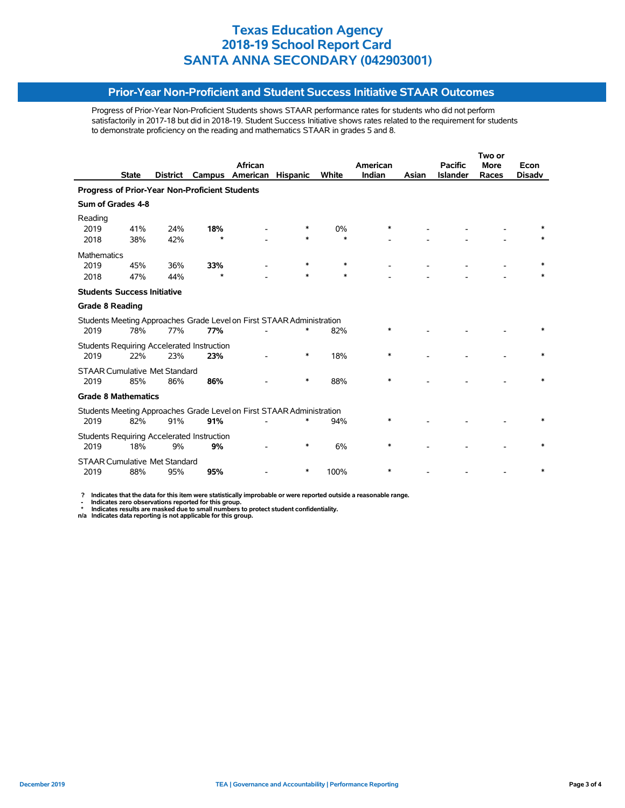### **Prior-Year Non-Proficient and Student Success Initiative STAAR Outcomes**

Progress of Prior-Year Non-Proficient Students shows STAAR performance rates for students who did not perform satisfactorily in 2017-18 but did in 2018-19. Student Success Initiative shows rates related to the requirement for students to demonstrate proficiency on the reading and mathematics STAAR in grades 5 and 8.

|                                                |              |          |                                                   |                                                                       |                 |        |          |       |                 | Two or      |               |  |
|------------------------------------------------|--------------|----------|---------------------------------------------------|-----------------------------------------------------------------------|-----------------|--------|----------|-------|-----------------|-------------|---------------|--|
|                                                |              |          |                                                   | <b>African</b>                                                        |                 |        | American |       | <b>Pacific</b>  | <b>More</b> | Econ          |  |
|                                                | <b>State</b> | District | Campus                                            | American                                                              | <b>Hispanic</b> | White  | Indian   | Asian | <b>Islander</b> | Races       | <b>Disady</b> |  |
| Progress of Prior-Year Non-Proficient Students |              |          |                                                   |                                                                       |                 |        |          |       |                 |             |               |  |
| Sum of Grades 4-8                              |              |          |                                                   |                                                                       |                 |        |          |       |                 |             |               |  |
| Reading                                        |              |          |                                                   |                                                                       |                 |        |          |       |                 |             |               |  |
| 2019                                           | 41%          | 24%      | 18%                                               |                                                                       |                 | 0%     | *        |       |                 |             |               |  |
| 2018                                           | 38%          | 42%      | $\star$                                           |                                                                       | *               | $\ast$ |          |       |                 |             |               |  |
| <b>Mathematics</b>                             |              |          |                                                   |                                                                       |                 |        |          |       |                 |             |               |  |
| 2019                                           | 45%          | 36%      | 33%                                               |                                                                       | $\ast$          | $\ast$ |          |       |                 |             | $\ast$        |  |
| 2018                                           | 47%          | 44%      | $\star$                                           |                                                                       | $\ast$          | $\ast$ |          |       |                 |             |               |  |
| <b>Students Success Initiative</b>             |              |          |                                                   |                                                                       |                 |        |          |       |                 |             |               |  |
| <b>Grade 8 Reading</b>                         |              |          |                                                   |                                                                       |                 |        |          |       |                 |             |               |  |
|                                                |              |          |                                                   | Students Meeting Approaches Grade Level on First STAAR Administration |                 |        |          |       |                 |             |               |  |
| 2019                                           | 78%          | 77%      | 77%                                               |                                                                       | $\ast$          | 82%    | $\ast$   |       |                 |             |               |  |
|                                                |              |          | Students Requiring Accelerated Instruction        |                                                                       |                 |        |          |       |                 |             |               |  |
| 2019                                           | 22%          | 23%      | 23%                                               |                                                                       | *               | 18%    | *        |       |                 |             |               |  |
| <b>STAAR Cumulative Met Standard</b>           |              |          |                                                   |                                                                       |                 |        |          |       |                 |             |               |  |
| 2019                                           | 85%          | 86%      | 86%                                               |                                                                       | *               | 88%    | $\ast$   |       |                 |             |               |  |
| <b>Grade 8 Mathematics</b>                     |              |          |                                                   |                                                                       |                 |        |          |       |                 |             |               |  |
|                                                |              |          |                                                   | Students Meeting Approaches Grade Level on First STAAR Administration |                 |        |          |       |                 |             |               |  |
| 2019                                           | 82%          | 91%      | 91%                                               |                                                                       |                 | 94%    | *        |       |                 |             |               |  |
|                                                |              |          | <b>Students Requiring Accelerated Instruction</b> |                                                                       |                 |        |          |       |                 |             |               |  |
| 2019                                           | 18%          | 9%       | 9%                                                |                                                                       | $\ast$          | 6%     | $\ast$   |       |                 |             |               |  |
| <b>STAAR Cumulative Met Standard</b>           |              |          |                                                   |                                                                       |                 |        |          |       |                 |             |               |  |
| 2019                                           | 88%          | 95%      | 95%                                               |                                                                       | ∗               | 100%   | $\ast$   |       |                 |             |               |  |

 **? Indicates that the data for this item were statistically improbable or were reported outside a reasonable range.**

- Indicates zero observations reported for this group.<br>\* Indicates results are masked due to small numbers to protect student confidentiality.<br>n/a Indicates data reporting is not applicable for this group.

j,